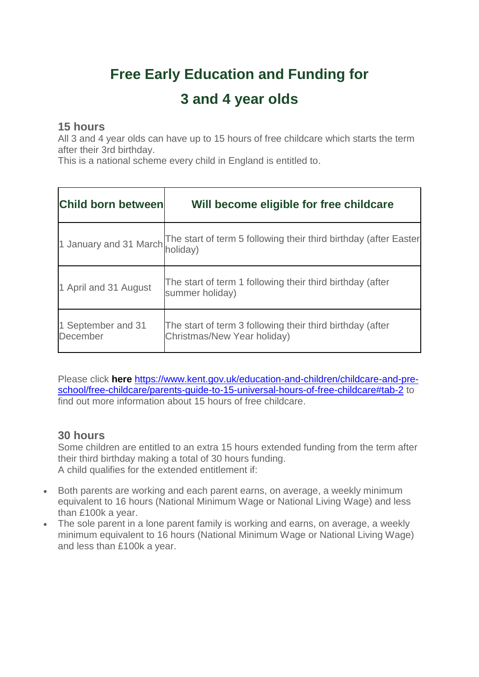## **Free Early Education and Funding for**

## **3 and 4 year olds**

## **15 hours**

All 3 and 4 year olds can have up to 15 hours of free childcare which starts the term after their 3rd birthday.

This is a national scheme every child in England is entitled to.

| Child born between             | Will become eligible for free childcare                                                  |
|--------------------------------|------------------------------------------------------------------------------------------|
|                                | 1 January and 31 March The start of term 5 following their third birthday (after Easter  |
| 1 April and 31 August          | The start of term 1 following their third birthday (after<br>summer holiday)             |
| 1 September and 31<br>December | The start of term 3 following their third birthday (after<br>Christmas/New Year holiday) |

Please click **here** [https://www.kent.gov.uk/education-and-children/childcare-and-pre](https://www.kent.gov.uk/education-and-children/childcare-and-pre-school/free-childcare/parents-guide-to-15-universal-hours-of-free-childcare#tab-2)[school/free-childcare/parents-guide-to-15-universal-hours-of-free-childcare#tab-2](https://www.kent.gov.uk/education-and-children/childcare-and-pre-school/free-childcare/parents-guide-to-15-universal-hours-of-free-childcare#tab-2) to find out more information about 15 hours of free childcare.

## **30 hours**

Some children are entitled to an extra 15 hours extended funding from the term after their third birthday making a total of 30 hours funding. A child qualifies for the extended entitlement if:

- Both parents are working and each parent earns, on average, a weekly minimum equivalent to 16 hours (National Minimum Wage or National Living Wage) and less than £100k a year.
- The sole parent in a lone parent family is working and earns, on average, a weekly minimum equivalent to 16 hours (National Minimum Wage or National Living Wage) and less than £100k a year.